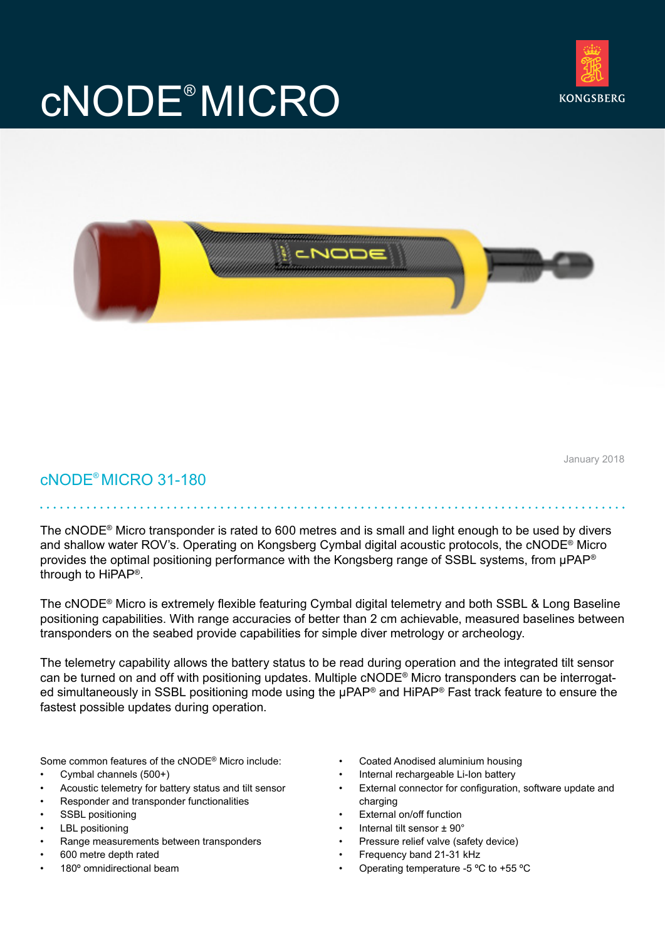## cNODE® MICRO





January 2018

cNODE® MICRO 31-180

The cNODE® Micro transponder is rated to 600 metres and is small and light enough to be used by divers and shallow water ROV's. Operating on Kongsberg Cymbal digital acoustic protocols, the cNODE® Micro provides the optimal positioning performance with the Kongsberg range of SSBL systems, from uPAP<sup>®</sup> through to HiPAP®.

The cNODE® Micro is extremely flexible featuring Cymbal digital telemetry and both SSBL & Long Baseline positioning capabilities. With range accuracies of better than 2 cm achievable, measured baselines between transponders on the seabed provide capabilities for simple diver metrology or archeology.

The telemetry capability allows the battery status to be read during operation and the integrated tilt sensor can be turned on and off with positioning updates. Multiple cNODE® Micro transponders can be interrogated simultaneously in SSBL positioning mode using the µPAP® and HiPAP® Fast track feature to ensure the fastest possible updates during operation.

Some common features of the cNODE® Micro include:

- Cymbal channels (500+)
- Acoustic telemetry for battery status and tilt sensor
- Responder and transponder functionalities
- SSBL positioning
- LBL positioning
- Range measurements between transponders
- 600 metre depth rated
- 180° omnidirectional beam
- Coated Anodised aluminium housing
- Internal rechargeable Li-Ion battery
- External connector for configuration, software update and charging
- External on/off function
- Internal tilt sensor ± 90°
- Pressure relief valve (safety device)
- Frequency band 21-31 kHz
- Operating temperature -5 ºC to +55 ºC